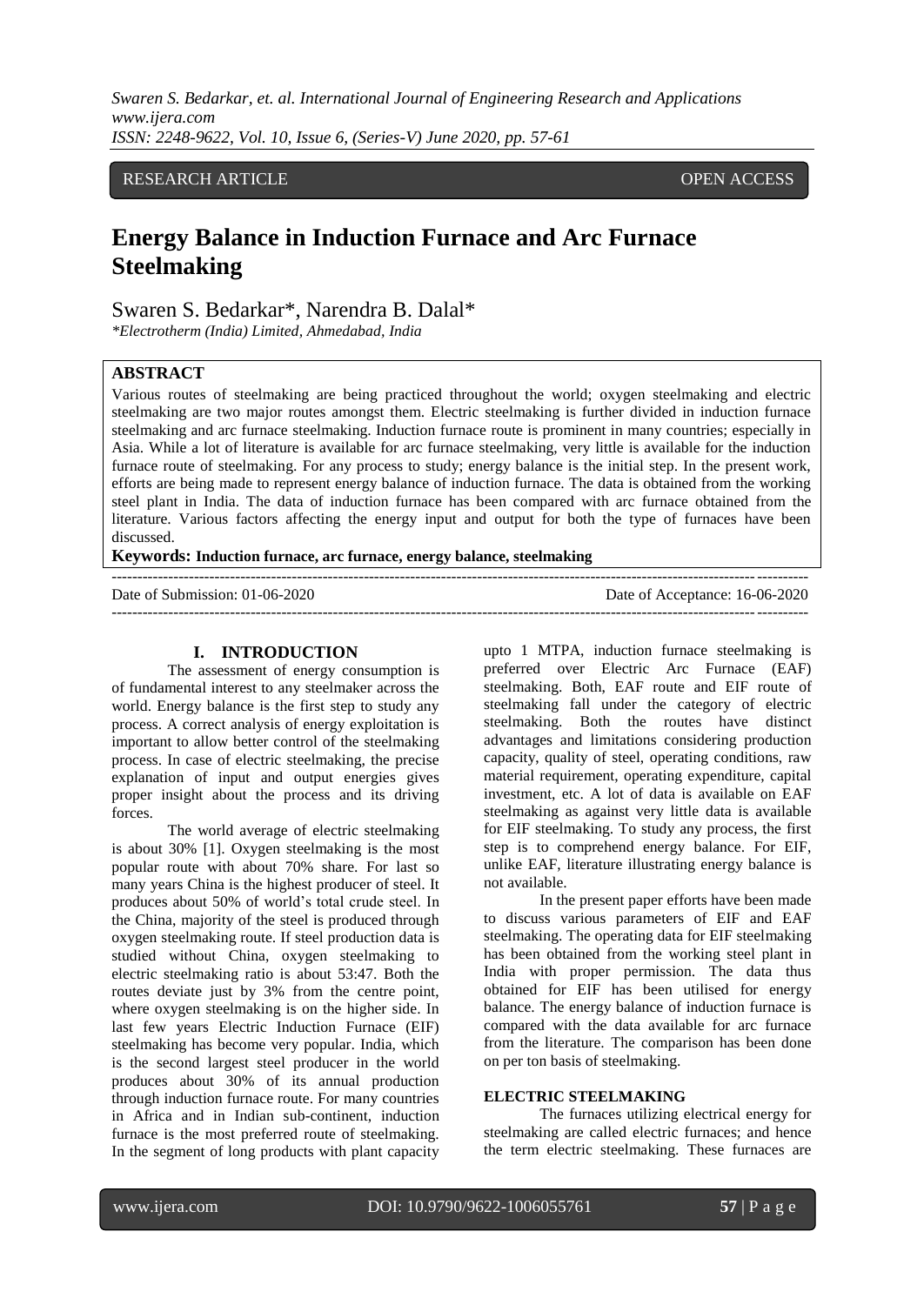# RESEARCH ARTICLE OPEN ACCESS

# **Energy Balance in Induction Furnace and Arc Furnace Steelmaking**

# Swaren S. Bedarkar\*, Narendra B. Dalal\*

*\*Electrotherm (India) Limited, Ahmedabad, India*

# **ABSTRACT**

Various routes of steelmaking are being practiced throughout the world; oxygen steelmaking and electric steelmaking are two major routes amongst them. Electric steelmaking is further divided in induction furnace steelmaking and arc furnace steelmaking. Induction furnace route is prominent in many countries; especially in Asia. While a lot of literature is available for arc furnace steelmaking, very little is available for the induction furnace route of steelmaking. For any process to study; energy balance is the initial step. In the present work, efforts are being made to represent energy balance of induction furnace. The data is obtained from the working steel plant in India. The data of induction furnace has been compared with arc furnace obtained from the literature. Various factors affecting the energy input and output for both the type of furnaces have been discussed.

#### **Keywords: Induction furnace, arc furnace, energy balance, steelmaking**

Date of Submission: 01-06-2020 Date of Acceptance: 16-06-2020

# ---------------------------------------------------------------------------------------------------------------------------------------

#### **I. INTRODUCTION**

The assessment of energy consumption is of fundamental interest to any steelmaker across the world. Energy balance is the first step to study any process. A correct analysis of energy exploitation is important to allow better control of the steelmaking process. In case of electric steelmaking, the precise explanation of input and output energies gives proper insight about the process and its driving forces.

The world average of electric steelmaking is about 30% [1]. Oxygen steelmaking is the most popular route with about 70% share. For last so many years China is the highest producer of steel. It produces about 50% of world's total crude steel. In the China, majority of the steel is produced through oxygen steelmaking route. If steel production data is studied without China, oxygen steelmaking to electric steelmaking ratio is about 53:47. Both the routes deviate just by 3% from the centre point, where oxygen steelmaking is on the higher side. In last few years Electric Induction Furnace (EIF) steelmaking has become very popular. India, which is the second largest steel producer in the world produces about 30% of its annual production through induction furnace route. For many countries in Africa and in Indian sub-continent, induction furnace is the most preferred route of steelmaking. In the segment of long products with plant capacity upto 1 MTPA, induction furnace steelmaking is preferred over Electric Arc Furnace (EAF) steelmaking. Both, EAF route and EIF route of steelmaking fall under the category of electric steelmaking. Both the routes have distinct advantages and limitations considering production capacity, quality of steel, operating conditions, raw material requirement, operating expenditure, capital investment, etc. A lot of data is available on EAF steelmaking as against very little data is available for EIF steelmaking. To study any process, the first step is to comprehend energy balance. For EIF, unlike EAF, literature illustrating energy balance is not available.

In the present paper efforts have been made to discuss various parameters of EIF and EAF steelmaking. The operating data for EIF steelmaking has been obtained from the working steel plant in India with proper permission. The data thus obtained for EIF has been utilised for energy balance. The energy balance of induction furnace is compared with the data available for arc furnace from the literature. The comparison has been done on per ton basis of steelmaking.

#### **ELECTRIC STEELMAKING**

The furnaces utilizing electrical energy for steelmaking are called electric furnaces; and hence the term electric steelmaking. These furnaces are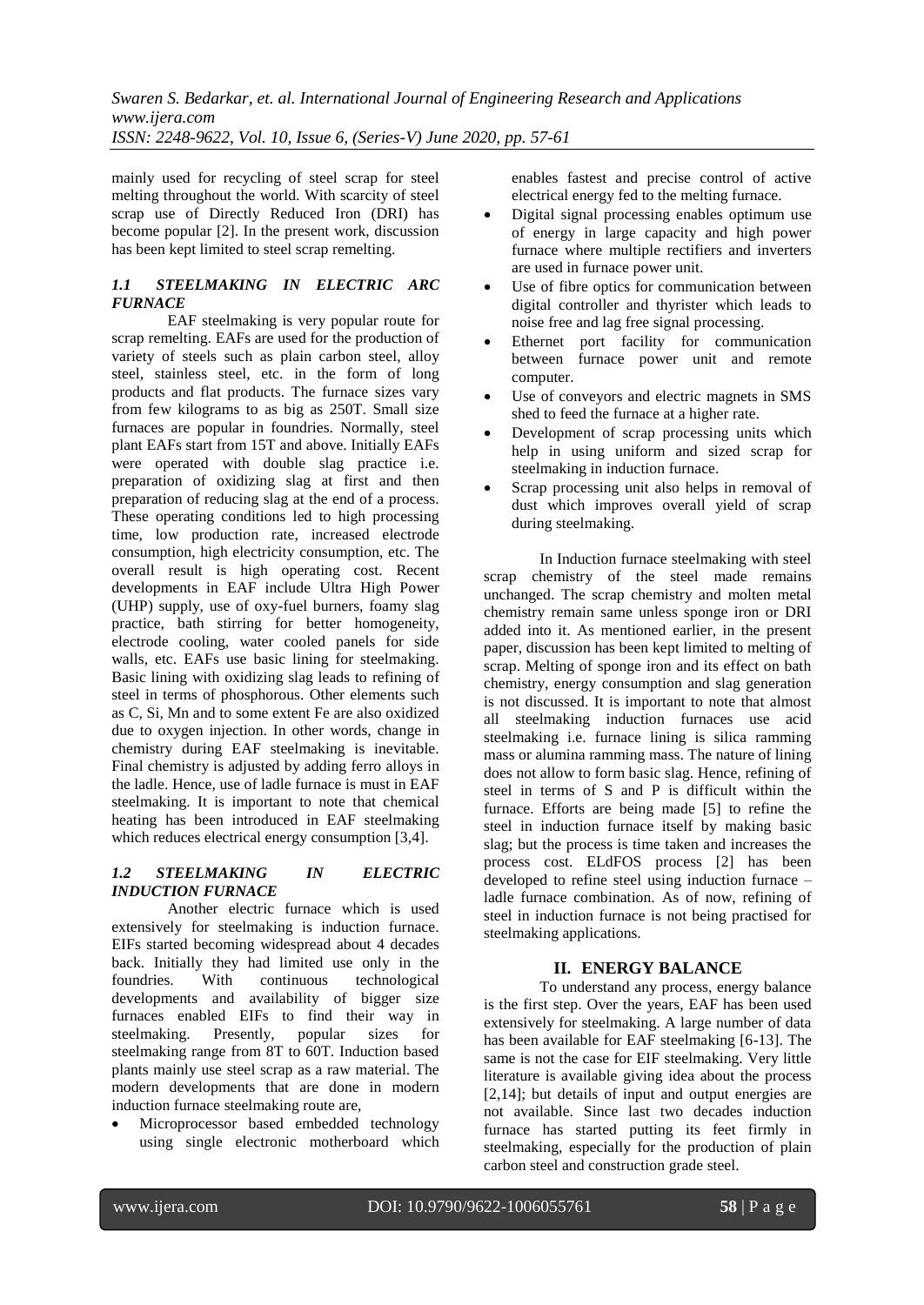mainly used for recycling of steel scrap for steel melting throughout the world. With scarcity of steel scrap use of Directly Reduced Iron (DRI) has become popular [2]. In the present work, discussion has been kept limited to steel scrap remelting.

## *1.1 STEELMAKING IN ELECTRIC ARC FURNACE*

EAF steelmaking is very popular route for scrap remelting. EAFs are used for the production of variety of steels such as plain carbon steel, alloy steel, stainless steel, etc. in the form of long products and flat products. The furnace sizes vary from few kilograms to as big as 250T. Small size furnaces are popular in foundries. Normally, steel plant EAFs start from 15T and above. Initially EAFs were operated with double slag practice i.e. preparation of oxidizing slag at first and then preparation of reducing slag at the end of a process. These operating conditions led to high processing time, low production rate, increased electrode consumption, high electricity consumption, etc. The overall result is high operating cost. Recent developments in EAF include Ultra High Power (UHP) supply, use of oxy-fuel burners, foamy slag practice, bath stirring for better homogeneity, electrode cooling, water cooled panels for side walls, etc. EAFs use basic lining for steelmaking. Basic lining with oxidizing slag leads to refining of steel in terms of phosphorous. Other elements such as C, Si, Mn and to some extent Fe are also oxidized due to oxygen injection. In other words, change in chemistry during EAF steelmaking is inevitable. Final chemistry is adjusted by adding ferro alloys in the ladle. Hence, use of ladle furnace is must in EAF steelmaking. It is important to note that chemical heating has been introduced in EAF steelmaking which reduces electrical energy consumption [3,4].

### *1.2 STEELMAKING IN ELECTRIC INDUCTION FURNACE*

Another electric furnace which is used extensively for steelmaking is induction furnace. EIFs started becoming widespread about 4 decades back. Initially they had limited use only in the foundries. With continuous technological developments and availability of bigger size furnaces enabled EIFs to find their way in steelmaking. Presently, popular sizes for steelmaking range from 8T to 60T. Induction based plants mainly use steel scrap as a raw material. The modern developments that are done in modern induction furnace steelmaking route are,

 Microprocessor based embedded technology using single electronic motherboard which enables fastest and precise control of active electrical energy fed to the melting furnace.

- Digital signal processing enables optimum use of energy in large capacity and high power furnace where multiple rectifiers and inverters are used in furnace power unit.
- Use of fibre optics for communication between digital controller and thyrister which leads to noise free and lag free signal processing.
- Ethernet port facility for communication between furnace power unit and remote computer.
- Use of conveyors and electric magnets in SMS shed to feed the furnace at a higher rate.
- Development of scrap processing units which help in using uniform and sized scrap for steelmaking in induction furnace.
- Scrap processing unit also helps in removal of dust which improves overall yield of scrap during steelmaking.

In Induction furnace steelmaking with steel scrap chemistry of the steel made remains unchanged. The scrap chemistry and molten metal chemistry remain same unless sponge iron or DRI added into it. As mentioned earlier, in the present paper, discussion has been kept limited to melting of scrap. Melting of sponge iron and its effect on bath chemistry, energy consumption and slag generation is not discussed. It is important to note that almost all steelmaking induction furnaces use acid steelmaking i.e. furnace lining is silica ramming mass or alumina ramming mass. The nature of lining does not allow to form basic slag. Hence, refining of steel in terms of S and P is difficult within the furnace. Efforts are being made [5] to refine the steel in induction furnace itself by making basic slag; but the process is time taken and increases the process cost. ELdFOS process [2] has been developed to refine steel using induction furnace – ladle furnace combination. As of now, refining of steel in induction furnace is not being practised for steelmaking applications.

# **II. ENERGY BALANCE**

To understand any process, energy balance is the first step. Over the years, EAF has been used extensively for steelmaking. A large number of data has been available for EAF steelmaking [6-13]. The same is not the case for EIF steelmaking. Very little literature is available giving idea about the process [2,14]; but details of input and output energies are not available. Since last two decades induction furnace has started putting its feet firmly in steelmaking, especially for the production of plain carbon steel and construction grade steel.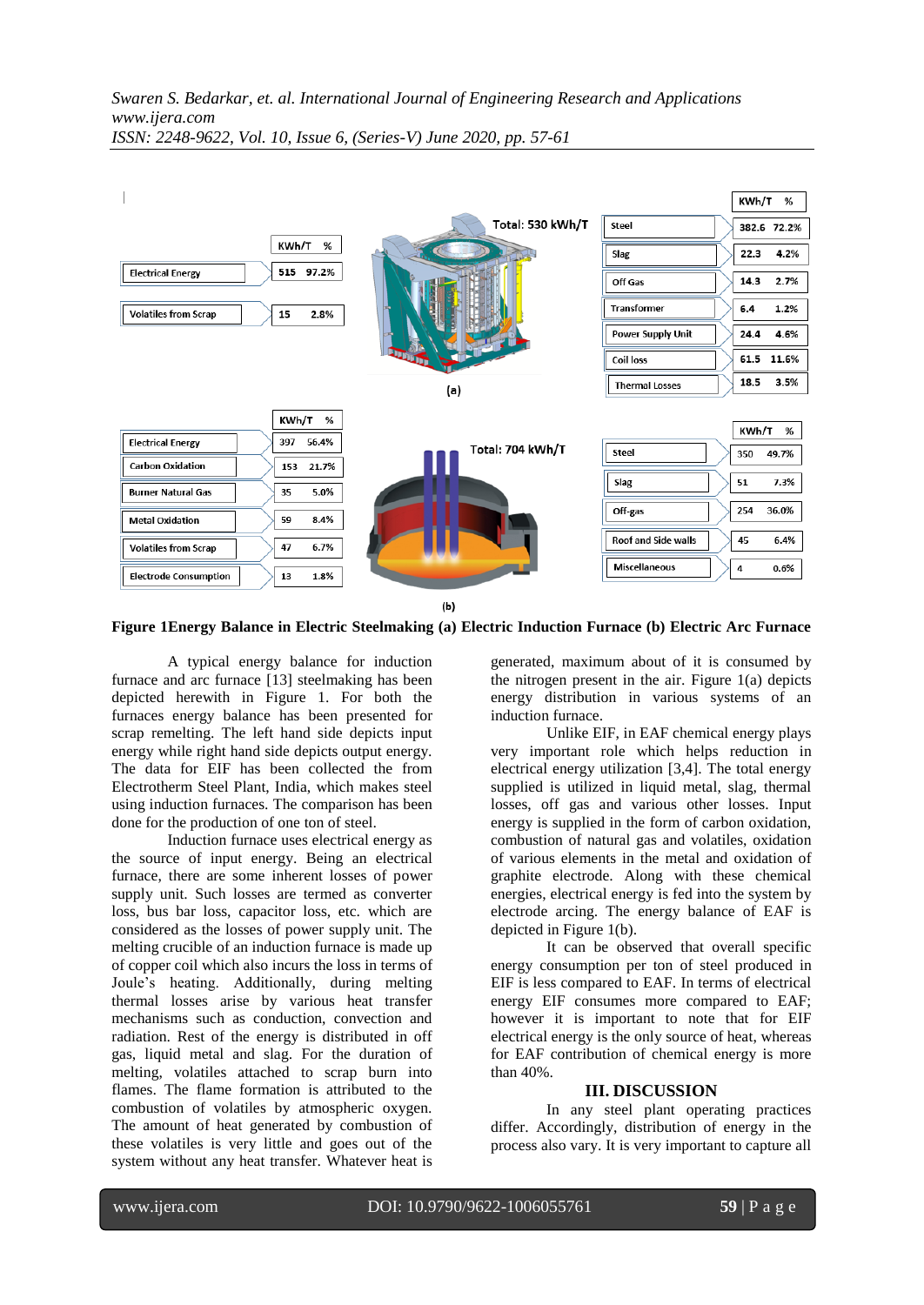

**Figure 1Energy Balance in Electric Steelmaking (a) Electric Induction Furnace (b) Electric Arc Furnace**

A typical energy balance for induction furnace and arc furnace [13] steelmaking has been depicted herewith in Figure 1. For both the furnaces energy balance has been presented for scrap remelting. The left hand side depicts input energy while right hand side depicts output energy. The data for EIF has been collected the from Electrotherm Steel Plant, India, which makes steel using induction furnaces. The comparison has been done for the production of one ton of steel.

Induction furnace uses electrical energy as the source of input energy. Being an electrical furnace, there are some inherent losses of power supply unit. Such losses are termed as converter loss, bus bar loss, capacitor loss, etc. which are considered as the losses of power supply unit. The melting crucible of an induction furnace is made up of copper coil which also incurs the loss in terms of Joule's heating. Additionally, during melting thermal losses arise by various heat transfer mechanisms such as conduction, convection and radiation. Rest of the energy is distributed in off gas, liquid metal and slag. For the duration of melting, volatiles attached to scrap burn into flames. The flame formation is attributed to the combustion of volatiles by atmospheric oxygen. The amount of heat generated by combustion of these volatiles is very little and goes out of the system without any heat transfer. Whatever heat is

generated, maximum about of it is consumed by the nitrogen present in the air. Figure 1(a) depicts energy distribution in various systems of an induction furnace.

Unlike EIF, in EAF chemical energy plays very important role which helps reduction in electrical energy utilization [3,4]. The total energy supplied is utilized in liquid metal, slag, thermal losses, off gas and various other losses. Input energy is supplied in the form of carbon oxidation, combustion of natural gas and volatiles, oxidation of various elements in the metal and oxidation of graphite electrode. Along with these chemical energies, electrical energy is fed into the system by electrode arcing. The energy balance of EAF is depicted in Figure 1(b).

It can be observed that overall specific energy consumption per ton of steel produced in EIF is less compared to EAF. In terms of electrical energy EIF consumes more compared to EAF; however it is important to note that for EIF electrical energy is the only source of heat, whereas for EAF contribution of chemical energy is more than 40%.

#### **III. DISCUSSION**

In any steel plant operating practices differ. Accordingly, distribution of energy in the process also vary. It is very important to capture all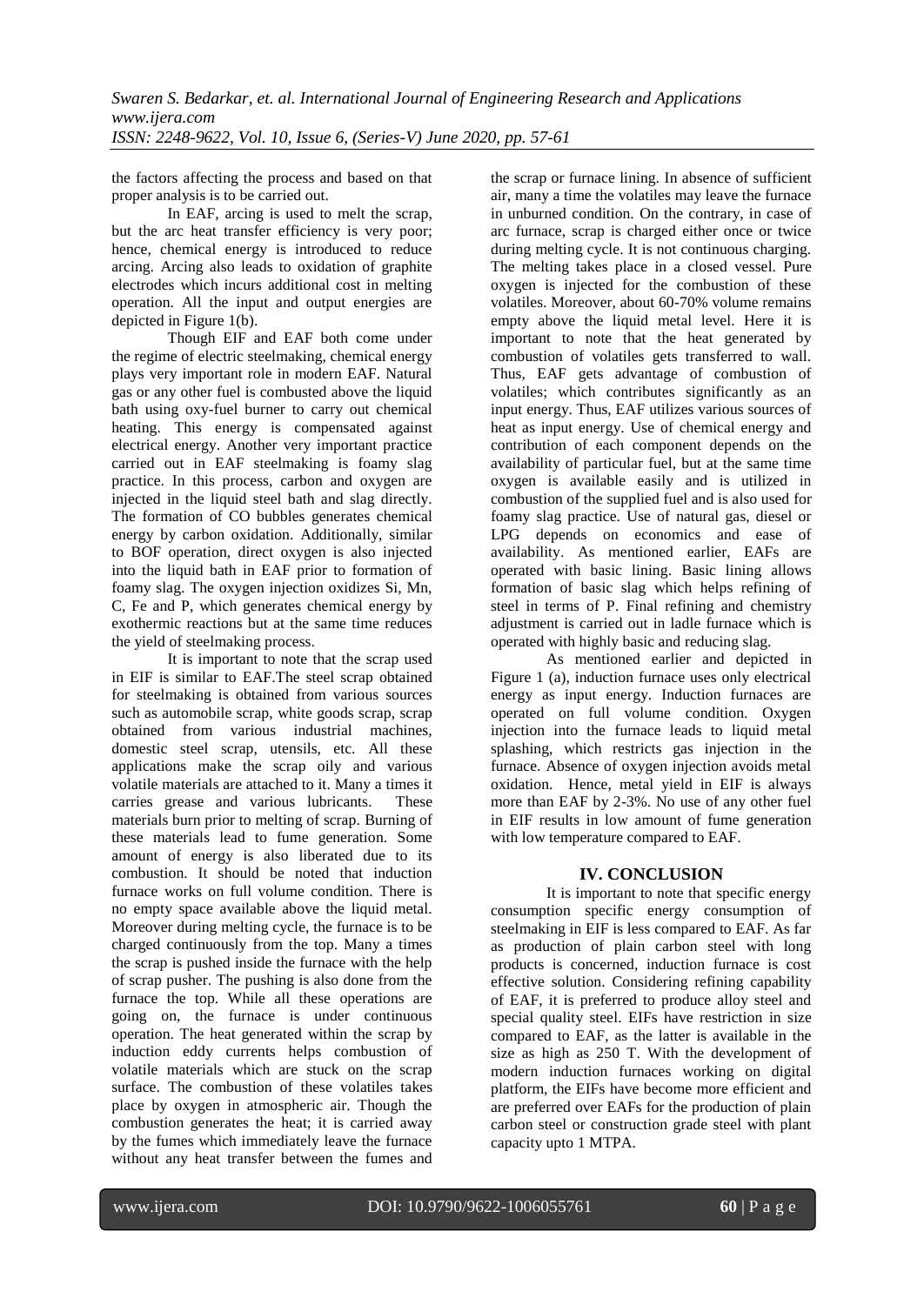the factors affecting the process and based on that proper analysis is to be carried out.

In EAF, arcing is used to melt the scrap, but the arc heat transfer efficiency is very poor; hence, chemical energy is introduced to reduce arcing. Arcing also leads to oxidation of graphite electrodes which incurs additional cost in melting operation. All the input and output energies are depicted in Figure 1(b).

Though EIF and EAF both come under the regime of electric steelmaking, chemical energy plays very important role in modern EAF. Natural gas or any other fuel is combusted above the liquid bath using oxy-fuel burner to carry out chemical heating. This energy is compensated against electrical energy. Another very important practice carried out in EAF steelmaking is foamy slag practice. In this process, carbon and oxygen are injected in the liquid steel bath and slag directly. The formation of CO bubbles generates chemical energy by carbon oxidation. Additionally, similar to BOF operation, direct oxygen is also injected into the liquid bath in EAF prior to formation of foamy slag. The oxygen injection oxidizes Si, Mn, C, Fe and P, which generates chemical energy by exothermic reactions but at the same time reduces the yield of steelmaking process.

It is important to note that the scrap used in EIF is similar to EAF.The steel scrap obtained for steelmaking is obtained from various sources such as automobile scrap, white goods scrap, scrap obtained from various industrial machines, domestic steel scrap, utensils, etc. All these applications make the scrap oily and various volatile materials are attached to it. Many a times it carries grease and various lubricants. These materials burn prior to melting of scrap. Burning of these materials lead to fume generation. Some amount of energy is also liberated due to its combustion. It should be noted that induction furnace works on full volume condition. There is no empty space available above the liquid metal. Moreover during melting cycle, the furnace is to be charged continuously from the top. Many a times the scrap is pushed inside the furnace with the help of scrap pusher. The pushing is also done from the furnace the top. While all these operations are going on, the furnace is under continuous operation. The heat generated within the scrap by induction eddy currents helps combustion of volatile materials which are stuck on the scrap surface. The combustion of these volatiles takes place by oxygen in atmospheric air. Though the combustion generates the heat; it is carried away by the fumes which immediately leave the furnace without any heat transfer between the fumes and the scrap or furnace lining. In absence of sufficient air, many a time the volatiles may leave the furnace in unburned condition. On the contrary, in case of arc furnace, scrap is charged either once or twice during melting cycle. It is not continuous charging. The melting takes place in a closed vessel. Pure oxygen is injected for the combustion of these volatiles. Moreover, about 60-70% volume remains empty above the liquid metal level. Here it is important to note that the heat generated by combustion of volatiles gets transferred to wall. Thus, EAF gets advantage of combustion of volatiles; which contributes significantly as an input energy. Thus, EAF utilizes various sources of heat as input energy. Use of chemical energy and contribution of each component depends on the availability of particular fuel, but at the same time oxygen is available easily and is utilized in combustion of the supplied fuel and is also used for foamy slag practice. Use of natural gas, diesel or LPG depends on economics and ease of availability. As mentioned earlier, EAFs are operated with basic lining. Basic lining allows formation of basic slag which helps refining of steel in terms of P. Final refining and chemistry adjustment is carried out in ladle furnace which is operated with highly basic and reducing slag.

As mentioned earlier and depicted in Figure 1 (a), induction furnace uses only electrical energy as input energy. Induction furnaces are operated on full volume condition. Oxygen injection into the furnace leads to liquid metal splashing, which restricts gas injection in the furnace. Absence of oxygen injection avoids metal oxidation. Hence, metal yield in EIF is always more than EAF by 2-3%. No use of any other fuel in EIF results in low amount of fume generation with low temperature compared to EAF.

### **IV. CONCLUSION**

It is important to note that specific energy consumption specific energy consumption of steelmaking in EIF is less compared to EAF. As far as production of plain carbon steel with long products is concerned, induction furnace is cost effective solution. Considering refining capability of EAF, it is preferred to produce alloy steel and special quality steel. EIFs have restriction in size compared to EAF, as the latter is available in the size as high as 250 T. With the development of modern induction furnaces working on digital platform, the EIFs have become more efficient and are preferred over EAFs for the production of plain carbon steel or construction grade steel with plant capacity upto 1 MTPA.